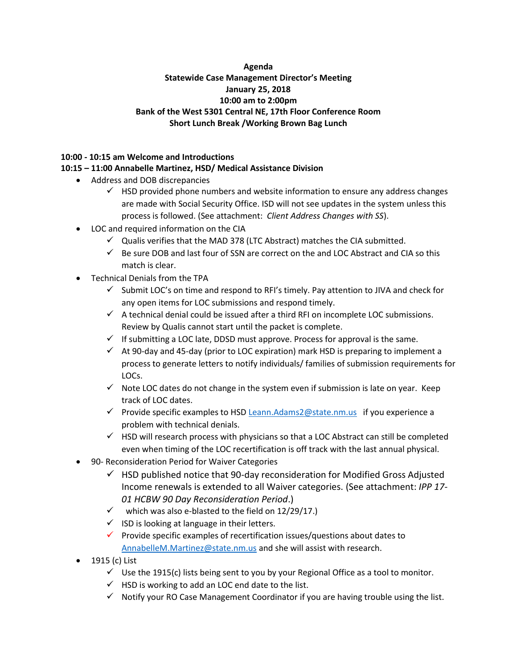## **Agenda Statewide Case Management Director's Meeting January 25, 2018 10:00 am to 2:00pm Bank of the West 5301 Central NE, 17th Floor Conference Room Short Lunch Break /Working Brown Bag Lunch**

#### **10:00 - 10:15 am Welcome and Introductions**

## **10:15 – 11:00 Annabelle Martinez, HSD/ Medical Assistance Division**

- Address and DOB discrepancies
	- $\checkmark$  HSD provided phone numbers and website information to ensure any address changes are made with Social Security Office. ISD will not see updates in the system unless this process is followed. (See attachment: *Client Address Changes with SS*).
- LOC and required information on the CIA
	- $\checkmark$  Qualis verifies that the MAD 378 (LTC Abstract) matches the CIA submitted.
	- $\checkmark$  Be sure DOB and last four of SSN are correct on the and LOC Abstract and CIA so this match is clear.
- Technical Denials from the TPA
	- $\checkmark$  Submit LOC's on time and respond to RFI's timely. Pay attention to JIVA and check for any open items for LOC submissions and respond timely.
	- $\checkmark$  A technical denial could be issued after a third RFI on incomplete LOC submissions. Review by Qualis cannot start until the packet is complete.
	- $\checkmark$  If submitting a LOC late, DDSD must approve. Process for approval is the same.
	- $\checkmark$  At 90-day and 45-day (prior to LOC expiration) mark HSD is preparing to implement a process to generate letters to notify individuals/ families of submission requirements for LOCs.
	- $\checkmark$  Note LOC dates do not change in the system even if submission is late on year. Keep track of LOC dates.
	- $\checkmark$  Provide specific examples to HSD [Leann.Adams2@state.nm.us](mailto:Leann.Adams2@state.nm.us) if you experience a problem with technical denials.
	- $\checkmark$  HSD will research process with physicians so that a LOC Abstract can still be completed even when timing of the LOC recertification is off track with the last annual physical.
- 90- Reconsideration Period for Waiver Categories
	- $\checkmark$  HSD published notice that 90-day reconsideration for Modified Gross Adjusted Income renewals is extended to all Waiver categories. (See attachment: *IPP 17- 01 HCBW 90 Day Reconsideration Period*.)
	- $\checkmark$  which was also e-blasted to the field on 12/29/17.)
	- $\checkmark$  ISD is looking at language in their letters.
	- $\checkmark$  Provide specific examples of recertification issues/questions about dates to [AnnabelleM.Martinez@state.nm.us](mailto:AnnabelleM.Martinez@state.nm.us) and she will assist with research.
- 1915 (c) List
	- $\checkmark$  Use the 1915(c) lists being sent to you by your Regional Office as a tool to monitor.
	- $\checkmark$  HSD is working to add an LOC end date to the list.
	- $\checkmark$  Notify your RO Case Management Coordinator if you are having trouble using the list.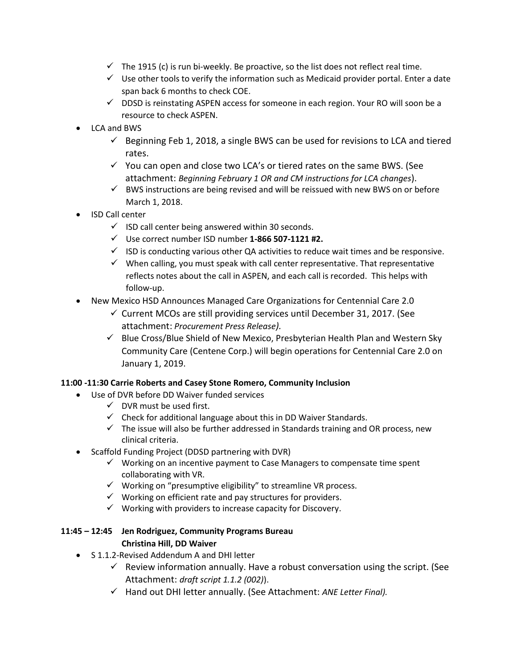- $\checkmark$  The 1915 (c) is run bi-weekly. Be proactive, so the list does not reflect real time.
- $\checkmark$  Use other tools to verify the information such as Medicaid provider portal. Enter a date span back 6 months to check COE.
- $\checkmark$  DDSD is reinstating ASPEN access for someone in each region. Your RO will soon be a resource to check ASPEN.
- LCA and BWS
	- $\checkmark$  Beginning Feb 1, 2018, a single BWS can be used for revisions to LCA and tiered rates.
	- $\checkmark$  You can open and close two LCA's or tiered rates on the same BWS. (See attachment: *Beginning February 1 OR and CM instructions for LCA changes*).
	- $\checkmark$  BWS instructions are being revised and will be reissued with new BWS on or before March 1, 2018.
- ISD Call center
	- $\checkmark$  ISD call center being answered within 30 seconds.
	- ✓ Use correct number ISD number **1-866 507-1121 #2.**
	- $\checkmark$  ISD is conducting various other QA activities to reduce wait times and be responsive.
	- $\checkmark$  When calling, you must speak with call center representative. That representative reflects notes about the call in ASPEN, and each call is recorded. This helps with follow-up.
- New Mexico HSD Announces Managed Care Organizations for Centennial Care 2.0
	- $\checkmark$  Current MCOs are still providing services until December 31, 2017. (See attachment: *Procurement Press Release).*
	- ✓ Blue Cross/Blue Shield of New Mexico, Presbyterian Health Plan and Western Sky Community Care (Centene Corp.) will begin operations for Centennial Care 2.0 on January 1, 2019.

## **11:00 -11:30 Carrie Roberts and Casey Stone Romero, Community Inclusion**

- Use of DVR before DD Waiver funded services
	- $\checkmark$  DVR must be used first.
	- $\checkmark$  Check for additional language about this in DD Waiver Standards.
	- $\checkmark$  The issue will also be further addressed in Standards training and OR process, new clinical criteria.
- Scaffold Funding Project (DDSD partnering with DVR)
	- ✓ Working on an incentive payment to Case Managers to compensate time spent collaborating with VR.
	- ✓ Working on "presumptive eligibility" to streamline VR process.
	- $\checkmark$  Working on efficient rate and pay structures for providers.
	- $\checkmark$  Working with providers to increase capacity for Discovery.

### **11:45 – 12:45 Jen Rodriguez, Community Programs Bureau Christina Hill, DD Waiver**

- S 1.1.2-Revised Addendum A and DHI letter
	- $\checkmark$  Review information annually. Have a robust conversation using the script. (See Attachment: *draft script 1.1.2 (002)*).
	- ✓ Hand out DHI letter annually. (See Attachment: *ANE Letter Final).*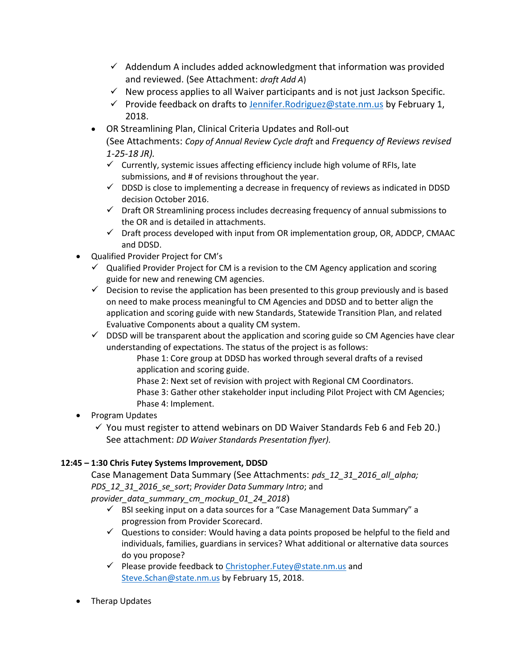- $\checkmark$  Addendum A includes added acknowledgment that information was provided and reviewed. (See Attachment: *draft Add A*)
- $\checkmark$  New process applies to all Waiver participants and is not just Jackson Specific.
- $\checkmark$  Provide feedback on drafts to Jennifer. Rodriguez@state.nm.us by February 1, 2018.
- OR Streamlining Plan, Clinical Criteria Updates and Roll-out (See Attachments: *Copy of Annual Review Cycle draft* and *Frequency of Reviews revised 1-25-18 JR).*
	- $\checkmark$  Currently, systemic issues affecting efficiency include high volume of RFIs, late submissions, and # of revisions throughout the year.
	- $\checkmark$  DDSD is close to implementing a decrease in frequency of reviews as indicated in DDSD decision October 2016.
	- $\checkmark$  Draft OR Streamlining process includes decreasing frequency of annual submissions to the OR and is detailed in attachments.
	- $\checkmark$  Draft process developed with input from OR implementation group, OR, ADDCP, CMAAC and DDSD.
- Qualified Provider Project for CM's
	- $\checkmark$  Qualified Provider Project for CM is a revision to the CM Agency application and scoring guide for new and renewing CM agencies.
	- $\checkmark$  Decision to revise the application has been presented to this group previously and is based on need to make process meaningful to CM Agencies and DDSD and to better align the application and scoring guide with new Standards, Statewide Transition Plan, and related Evaluative Components about a quality CM system.
	- $\checkmark$  DDSD will be transparent about the application and scoring guide so CM Agencies have clear understanding of expectations. The status of the project is as follows:
		- Phase 1: Core group at DDSD has worked through several drafts of a revised application and scoring guide.
		- Phase 2: Next set of revision with project with Regional CM Coordinators. Phase 3: Gather other stakeholder input including Pilot Project with CM Agencies; Phase 4: Implement.
- Program Updates
	- $\checkmark$  You must register to attend webinars on DD Waiver Standards Feb 6 and Feb 20.) See attachment: *DD Waiver Standards Presentation flyer).*

# **12:45 – 1:30 Chris Futey Systems Improvement, DDSD**

Case Management Data Summary (See Attachments: *pds\_12\_31\_2016\_all\_alpha; PDS\_12\_31\_2016\_se\_sort*; *Provider Data Summary Intro*; and

*provider\_data\_summary\_cm\_mockup\_01\_24\_2018*)

- ✓ BSI seeking input on a data sources for a "Case Management Data Summary" a progression from Provider Scorecard.
- $\checkmark$  Questions to consider: Would having a data points proposed be helpful to the field and individuals, families, guardians in services? What additional or alternative data sources do you propose?
- ✓ Please provide feedback to [Christopher.Futey@state.nm.us](mailto:Christopher.Futey@state.nm.us) and [Steve.Schan@state.nm.us](mailto:Steve.Schan@state.nm.us) by February 15, 2018.
- Therap Updates